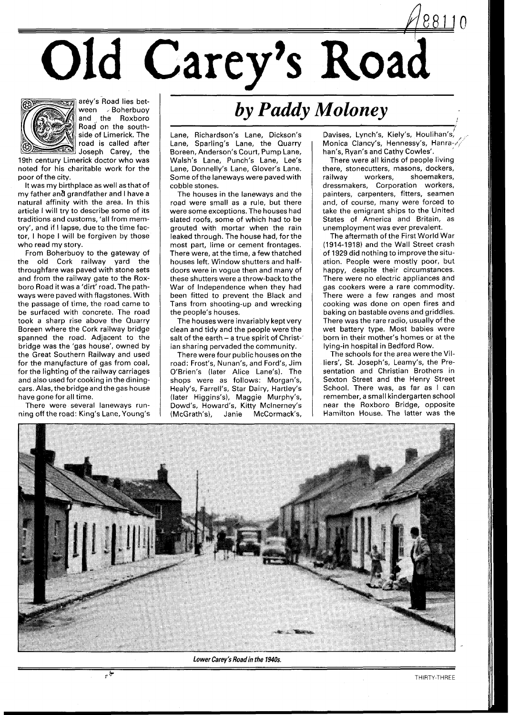Old Carey's Road



arey's Road lies bet-<br>ween > Boherbuov  $\overline{v}$  Boherbuoy and the Roxboro Road on the southside of Limerick. The road is called after  $\mathbb{I}$  Joseph Carey, the

19th century Limerick doctor who was noted for his charitable work for the poor of the city.

It was my birthplace as well as that of my father and grandfather and I have a natural affinity with the area. In this article I will try to describe some of its traditions and customs, 'all from memory', and if I lapse, due to the time factor, I hope I will be forgiven by those who read my story.

From Boherbuoy to the gateway of the old Cork railway yard the throughfare was paved with stone sets and from the railway gate to the Roxboro Road it was a 'dirt' road. The pathways were paved with flagstones. With the passage of time, the road came to be surfaced with concrete. The road took a sharp rise above the Quarry Boreen where the Cork railway bridge spanned the road. Adjacent to the bridge was the 'gas house', owned by the Great Southern Railway and used for the manufacture of gas from coal, for the lighting of the railway carriages and also used for cooking in the diningcars. Alas, the bridge and the gas house have gone for all time.

There were several laneways running off the road: King's Lane, Young's

## *by Paddy Moloney*

Lane, Richardson's Lane, Dickson's Lane, Sparling's Lane, the Quarry Boreen, Anderson's Court, Pump Lane, Walsh's Lane, Punch's Lane, Lee's Lane, Donnelly's Lane, Glover's Lane. Some of the laneways were paved with cobble stones.

The houses in the laneways and the road were small as a rule, but there were some exceptions. The houses had slated roofs, some of which had to be grouted with mortar when the rain leaked through. The house had, for the most part, lime or cement frontages. There were, at the time, a few thatched houses left. Window shutters and halfdoors were in vogue then and many of these shutters were a throw-backto the War of Independence when they had been fitted to prevent the Black and Tans from shooting-up and wrecking the people's houses.

The houses were invariably kept very clean and tidy and the people were the salt of the earth - a true spirit of Christ-1 ian sharing pervaded the community.

There were four public houses on the road: Frost's, Nunan's, and Ford's, Jim O'Brien's (later Alice Lane's). The shops were as follows: Morgan's, Healy's, Farrell's, Star Dairy, Hartley's (later Higgins's), Maggie Murphy's, Dowd's, Howard's, Kitty Mclnerney's (McGrath's), Janie

Davises, Lynch's, Kiely's, Houlihan's, *Monica Clancy's*, Hennes, han's, Ryan's and Cathy Cowles'.

There were all kinds of people living there, stonecutters, masons, dockers,<br>railway workers, shoemakers, shoemakers, dressmakers, Corporation workers, painters, carpenters, fitters, seamen and, of course, many were forced to take the emigrant ships to the United States of America and Britain, as unemployment was ever prevalent.

The aftermath of the First World War (1914-1918) and the Wall Street crash of 1929 did nothing to improve the situation. People were mostly poor, but happy, despite their circumstances. There were no electric appliances and gas cookers were a rare commodity. There were a few ranges and most cooking was done on open fires and baking on bastable ovens and griddles. There was the rare radio, usually of the wet battery type. Most babies were born in their mother's homes or at the lying-in hospital in Bedford Row.

The schools for the area were the Villiers', St. Joseph's, Leamy's, the Presentation and Christian Brothers in Sexton Street and the Henry Street School. There was, as far as I can remember, a small kindergarten school near the Roxboro Bridge, opposite Hamilton House. The latter was the



**Lower Carey's Roadin the 1940s.**